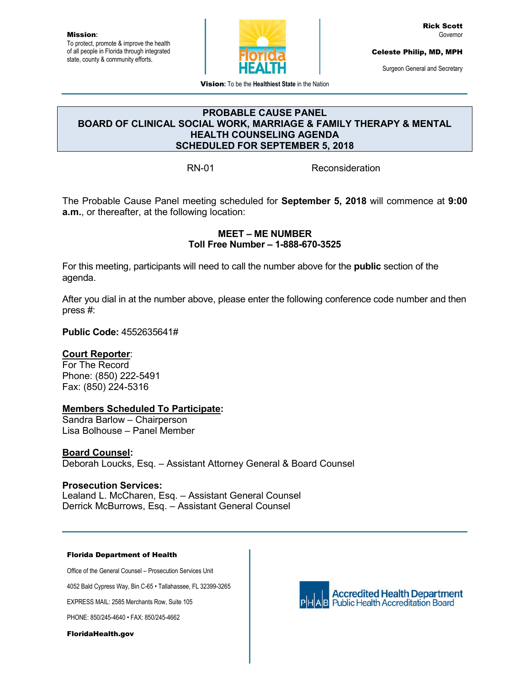Mission**:** To protect, promote & improve the health of all people in Florida through integrated state, county & community efforts.



Rick Scott Governor

Celeste Philip, MD, MPH

Surgeon General and Secretary

Vision**:** To be the **Healthiest State** in the Nation

## **PROBABLE CAUSE PANEL BOARD OF CLINICAL SOCIAL WORK, MARRIAGE & FAMILY THERAPY & MENTAL HEALTH COUNSELING AGENDA SCHEDULED FOR SEPTEMBER 5, 2018**

RN-01 Reconsideration

The Probable Cause Panel meeting scheduled for **September 5, 2018** will commence at **9:00 a.m.**, or thereafter, at the following location:

## **MEET – ME NUMBER Toll Free Number – 1-888-670-3525**

For this meeting, participants will need to call the number above for the **public** section of the agenda.

After you dial in at the number above, please enter the following conference code number and then press #:

**Public Code:** 4552635641#

### **Court Reporter**:

For The Record Phone: (850) 222-5491 Fax: (850) 224-5316

### **Members Scheduled To Participate:**

Sandra Barlow – Chairperson Lisa Bolhouse – Panel Member

**Board Counsel:** Deborah Loucks, Esq. – Assistant Attorney General & Board Counsel

**Prosecution Services:** Lealand L. McCharen, Esq. – Assistant General Counsel Derrick McBurrows, Esq. – Assistant General Counsel

#### Florida Department of Health

Office of the General Counsel – Prosecution Services Unit

4052 Bald Cypress Way, Bin C-65 • Tallahassee, FL 32399-3265

EXPRESS MAIL: 2585 Merchants Row, Suite 105

PHONE: 850/245-4640 • FAX: 850/245-4662

FloridaHealth.gov